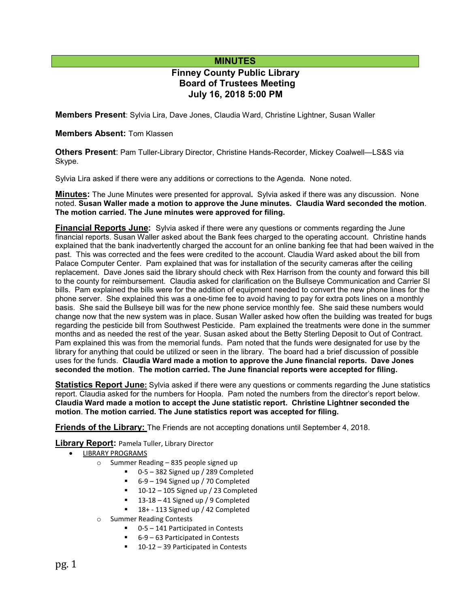# **MINUTES**

# **Finney County Public Library Board of Trustees Meeting July 16, 2018 5:00 PM**

**Members Present**: Sylvia Lira, Dave Jones, Claudia Ward, Christine Lightner, Susan Waller

#### **Members Absent:** Tom Klassen

**Others Present**: Pam Tuller-Library Director, Christine Hands-Recorder, Mickey Coalwell—LS&S via Skype.

Sylvia Lira asked if there were any additions or corrections to the Agenda. None noted.

**Minutes:** The June Minutes were presented for approval**.** Sylvia asked if there was any discussion. None noted. **Susan Waller made a motion to approve the June minutes. Claudia Ward seconded the motion**. **The motion carried. The June minutes were approved for filing.** 

**Financial Reports June:** Sylvia asked if there were any questions or comments regarding the June financial reports. Susan Waller asked about the Bank fees charged to the operating account. Christine hands explained that the bank inadvertently charged the account for an online banking fee that had been waived in the past. This was corrected and the fees were credited to the account. Claudia Ward asked about the bill from Palace Computer Center. Pam explained that was for installation of the security cameras after the ceiling replacement. Dave Jones said the library should check with Rex Harrison from the county and forward this bill to the county for reimbursement. Claudia asked for clarification on the Bullseye Communication and Carrier SI bills. Pam explained the bills were for the addition of equipment needed to convert the new phone lines for the phone server. She explained this was a one-time fee to avoid having to pay for extra pots lines on a monthly basis. She said the Bullseye bill was for the new phone service monthly fee. She said these numbers would change now that the new system was in place. Susan Waller asked how often the building was treated for bugs regarding the pesticide bill from Southwest Pesticide. Pam explained the treatments were done in the summer months and as needed the rest of the year. Susan asked about the Betty Sterling Deposit to Out of Contract. Pam explained this was from the memorial funds. Pam noted that the funds were designated for use by the library for anything that could be utilized or seen in the library. The board had a brief discussion of possible uses for the funds. **Claudia Ward made a motion to approve the June financial reports. Dave Jones seconded the motion**. **The motion carried. The June financial reports were accepted for filing.**

**Statistics Report June:** Sylvia asked if there were any questions or comments regarding the June statistics report. Claudia asked for the numbers for Hoopla. Pam noted the numbers from the director's report below. **Claudia Ward made a motion to accept the June statistic report. Christine Lightner seconded the motion**. **The motion carried. The June statistics report was accepted for filing.**

**Friends of the Library:** The Friends are not accepting donations until September 4, 2018.

**Library Report:** Pamela Tuller, Library Director

- LIBRARY PROGRAMS
	- o Summer Reading 835 people signed up
		- 0-5 382 Signed up / 289 Completed
		- 6-9 194 Signed up / 70 Completed
		- 10-12 105 Signed up / 23 Completed
		- 13-18 41 Signed up / 9 Completed
		- 18+ 113 Signed up / 42 Completed
	- o Summer Reading Contests
		- 0-5 141 Participated in Contests
			- 6-9 63 Participated in Contests
		- 10-12 39 Participated in Contests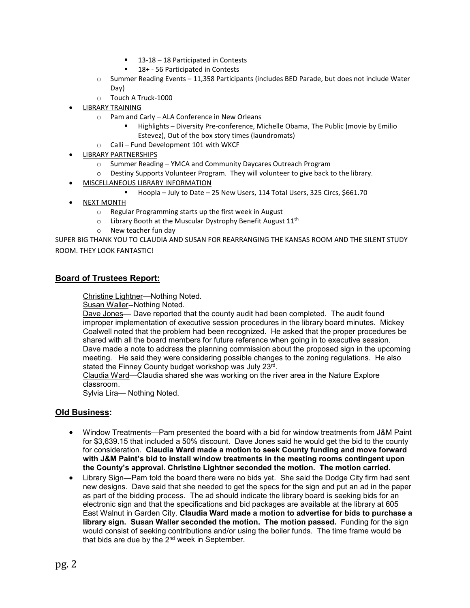- 13-18 18 Participated in Contests
- 18+ 56 Participated in Contests
- $\circ$  Summer Reading Events 11,358 Participants (includes BED Parade, but does not include Water Day)
- o Touch A Truck-1000
- LIBRARY TRAINING
	- o Pam and Carly ALA Conference in New Orleans
		- Highlights Diversity Pre-conference, Michelle Obama, The Public (movie by Emilio Estevez), Out of the box story times (laundromats)
	- o Calli Fund Development 101 with WKCF
- LIBRARY PARTNERSHIPS
	-
	- o Summer Reading YMCA and Community Daycares Outreach Program<br>
	o Destiny Supports Volunteer Program. They will volunteer to give back to Destiny Supports Volunteer Program. They will volunteer to give back to the library.
- MISCELLANEOUS LIBRARY INFORMATION
	- Hoopla July to Date 25 New Users, 114 Total Users, 325 Circs, \$661.70
- NEXT MONTH
	- o Regular Programming starts up the first week in August
	- $\circ$  Library Booth at the Muscular Dystrophy Benefit August 11<sup>th</sup>
	- o New teacher fun day

SUPER BIG THANK YOU TO CLAUDIA AND SUSAN FOR REARRANGING THE KANSAS ROOM AND THE SILENT STUDY ROOM. THEY LOOK FANTASTIC!

## **Board of Trustees Report:**

Christine Lightner—Nothing Noted.

Susan Waller--Nothing Noted.

Dave Jones— Dave reported that the county audit had been completed. The audit found improper implementation of executive session procedures in the library board minutes. Mickey Coalwell noted that the problem had been recognized. He asked that the proper procedures be shared with all the board members for future reference when going in to executive session. Dave made a note to address the planning commission about the proposed sign in the upcoming meeting. He said they were considering possible changes to the zoning regulations. He also stated the Finney County budget workshop was July 23rd.

Claudia Ward—Claudia shared she was working on the river area in the Nature Explore classroom.

Sylvia Lira— Nothing Noted.

#### **Old Business:**

- Window Treatments—Pam presented the board with a bid for window treatments from J&M Paint for \$3,639.15 that included a 50% discount. Dave Jones said he would get the bid to the county for consideration. **Claudia Ward made a motion to seek County funding and move forward with J&M Paint's bid to install window treatments in the meeting rooms contingent upon the County's approval. Christine Lightner seconded the motion. The motion carried.**
- Library Sign—Pam told the board there were no bids yet. She said the Dodge City firm had sent new designs. Dave said that she needed to get the specs for the sign and put an ad in the paper as part of the bidding process. The ad should indicate the library board is seeking bids for an electronic sign and that the specifications and bid packages are available at the library at 605 East Walnut in Garden City. **Claudia Ward made a motion to advertise for bids to purchase a library sign. Susan Waller seconded the motion. The motion passed.** Funding for the sign would consist of seeking contributions and/or using the boiler funds. The time frame would be that bids are due by the 2<sup>nd</sup> week in September.